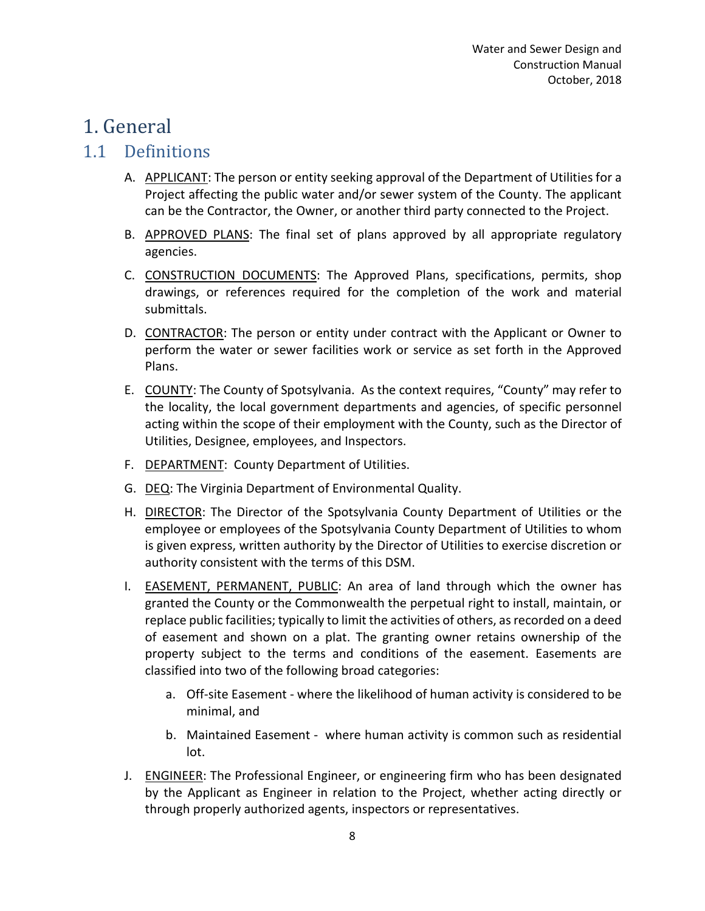# 1. General

#### 1.1 Definitions

- A. APPLICANT: The person or entity seeking approval of the Department of Utilities for a Project affecting the public water and/or sewer system of the County. The applicant can be the Contractor, the Owner, or another third party connected to the Project.
- B. APPROVED PLANS: The final set of plans approved by all appropriate regulatory agencies.
- C. CONSTRUCTION DOCUMENTS: The Approved Plans, specifications, permits, shop drawings, or references required for the completion of the work and material submittals.
- D. CONTRACTOR: The person or entity under contract with the Applicant or Owner to perform the water or sewer facilities work or service as set forth in the Approved Plans.
- E. COUNTY: The County of Spotsylvania. As the context requires, "County" may refer to the locality, the local government departments and agencies, of specific personnel acting within the scope of their employment with the County, such as the Director of Utilities, Designee, employees, and Inspectors.
- F. DEPARTMENT: County Department of Utilities.
- G. DEQ: The Virginia Department of Environmental Quality.
- H. **DIRECTOR:** The Director of the Spotsylvania County Department of Utilities or the employee or employees of the Spotsylvania County Department of Utilities to whom is given express, written authority by the Director of Utilities to exercise discretion or authority consistent with the terms of this DSM.
- I. EASEMENT, PERMANENT, PUBLIC: An area of land through which the owner has granted the County or the Commonwealth the perpetual right to install, maintain, or replace public facilities; typically to limit the activities of others, as recorded on a deed of easement and shown on a plat. The granting owner retains ownership of the property subject to the terms and conditions of the easement. Easements are classified into two of the following broad categories:
	- a. Off-site Easement where the likelihood of human activity is considered to be minimal, and
	- b. Maintained Easement where human activity is common such as residential lot.
- J. **ENGINEER:** The Professional Engineer, or engineering firm who has been designated by the Applicant as Engineer in relation to the Project, whether acting directly or through properly authorized agents, inspectors or representatives.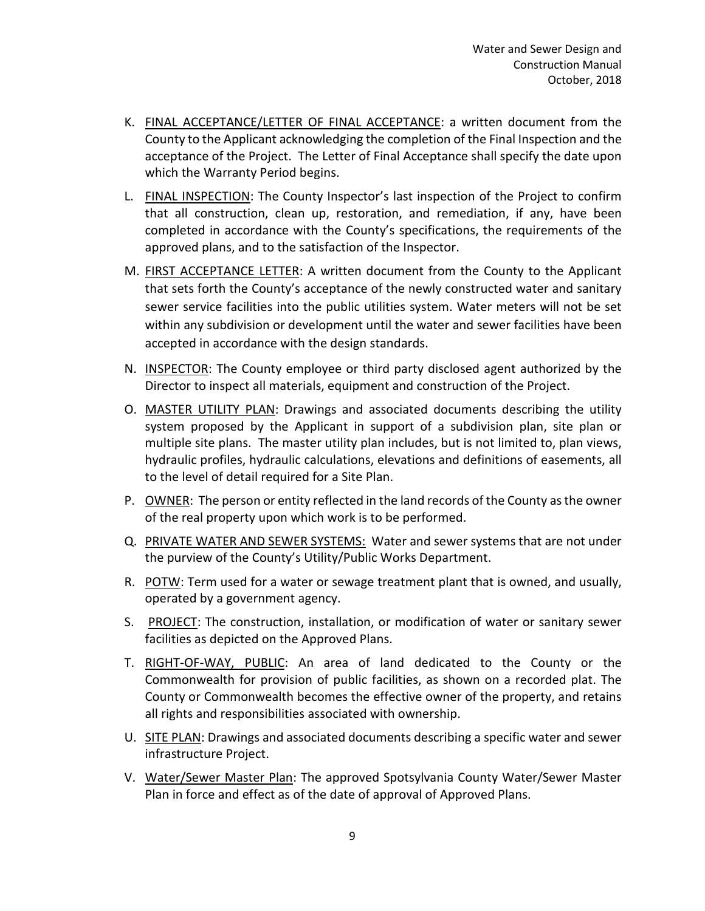- K. FINAL ACCEPTANCE/LETTER OF FINAL ACCEPTANCE: a written document from the County to the Applicant acknowledging the completion of the Final Inspection and the acceptance of the Project. The Letter of Final Acceptance shall specify the date upon which the Warranty Period begins.
- L. FINAL INSPECTION: The County Inspector's last inspection of the Project to confirm that all construction, clean up, restoration, and remediation, if any, have been completed in accordance with the County's specifications, the requirements of the approved plans, and to the satisfaction of the Inspector.
- M. **FIRST ACCEPTANCE LETTER:** A written document from the County to the Applicant that sets forth the County's acceptance of the newly constructed water and sanitary sewer service facilities into the public utilities system. Water meters will not be set within any subdivision or development until the water and sewer facilities have been accepted in accordance with the design standards.
- N. INSPECTOR: The County employee or third party disclosed agent authorized by the Director to inspect all materials, equipment and construction of the Project.
- O. MASTER UTILITY PLAN: Drawings and associated documents describing the utility system proposed by the Applicant in support of a subdivision plan, site plan or multiple site plans. The master utility plan includes, but is not limited to, plan views, hydraulic profiles, hydraulic calculations, elevations and definitions of easements, all to the level of detail required for a Site Plan.
- P. OWNER: The person or entity reflected in the land records of the County as the owner of the real property upon which work is to be performed.
- Q. PRIVATE WATER AND SEWER SYSTEMS: Water and sewer systems that are not under the purview of the County's Utility/Public Works Department.
- R. POTW: Term used for a water or sewage treatment plant that is owned, and usually, operated by a government agency.
- S. PROJECT: The construction, installation, or modification of water or sanitary sewer facilities as depicted on the Approved Plans.
- T. RIGHT-OF-WAY, PUBLIC: An area of land dedicated to the County or the Commonwealth for provision of public facilities, as shown on a recorded plat. The County or Commonwealth becomes the effective owner of the property, and retains all rights and responsibilities associated with ownership.
- U. SITE PLAN: Drawings and associated documents describing a specific water and sewer infrastructure Project.
- V. Water/Sewer Master Plan: The approved Spotsylvania County Water/Sewer Master Plan in force and effect as of the date of approval of Approved Plans.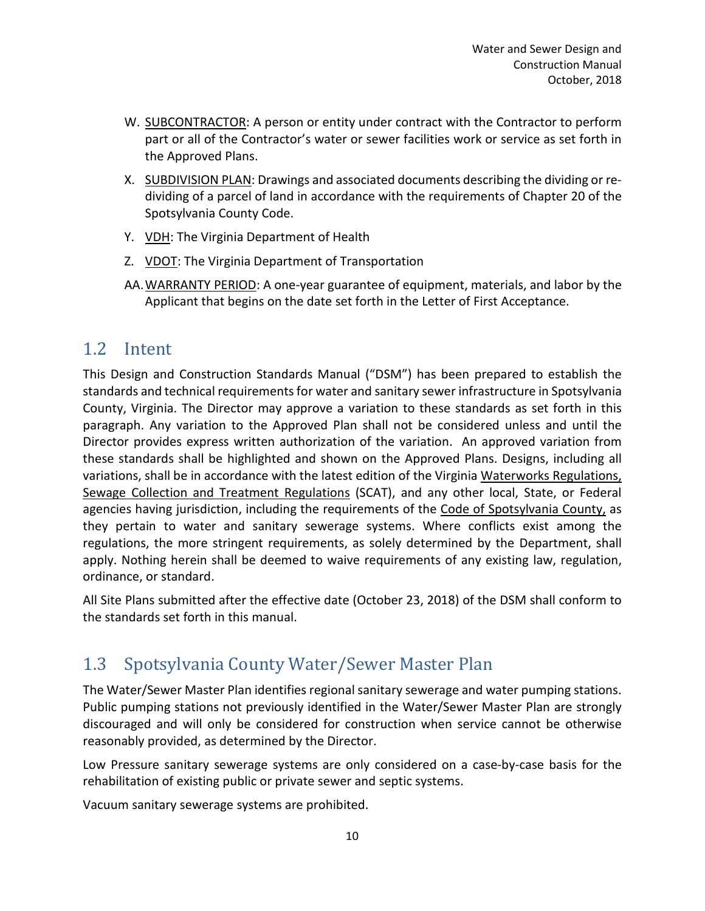- W. SUBCONTRACTOR: A person or entity under contract with the Contractor to perform part or all of the Contractor's water or sewer facilities work or service as set forth in the Approved Plans.
- X. SUBDIVISION PLAN: Drawings and associated documents describing the dividing or redividing of a parcel of land in accordance with the requirements of Chapter 20 of the Spotsylvania County Code.
- Y. VDH: The Virginia Department of Health
- Z. VDOT: The Virginia Department of Transportation
- AA.WARRANTY PERIOD: A one-year guarantee of equipment, materials, and labor by the Applicant that begins on the date set forth in the Letter of First Acceptance.

#### 1.2 Intent

This Design and Construction Standards Manual ("DSM") has been prepared to establish the standards and technical requirements for water and sanitary sewer infrastructure in Spotsylvania County, Virginia. The Director may approve a variation to these standards as set forth in this paragraph. Any variation to the Approved Plan shall not be considered unless and until the Director provides express written authorization of the variation. An approved variation from these standards shall be highlighted and shown on the Approved Plans. Designs, including all variations, shall be in accordance with the latest edition of the Virginia Waterworks Regulations, Sewage Collection and Treatment Regulations (SCAT), and any other local, State, or Federal agencies having jurisdiction, including the requirements of the Code of Spotsylvania County, as they pertain to water and sanitary sewerage systems. Where conflicts exist among the regulations, the more stringent requirements, as solely determined by the Department, shall apply. Nothing herein shall be deemed to waive requirements of any existing law, regulation, ordinance, or standard.

All Site Plans submitted after the effective date (October 23, 2018) of the DSM shall conform to the standards set forth in this manual.

## 1.3 Spotsylvania County Water/Sewer Master Plan

The Water/Sewer Master Plan identifies regional sanitary sewerage and water pumping stations. Public pumping stations not previously identified in the Water/Sewer Master Plan are strongly discouraged and will only be considered for construction when service cannot be otherwise reasonably provided, as determined by the Director.

Low Pressure sanitary sewerage systems are only considered on a case-by-case basis for the rehabilitation of existing public or private sewer and septic systems.

Vacuum sanitary sewerage systems are prohibited.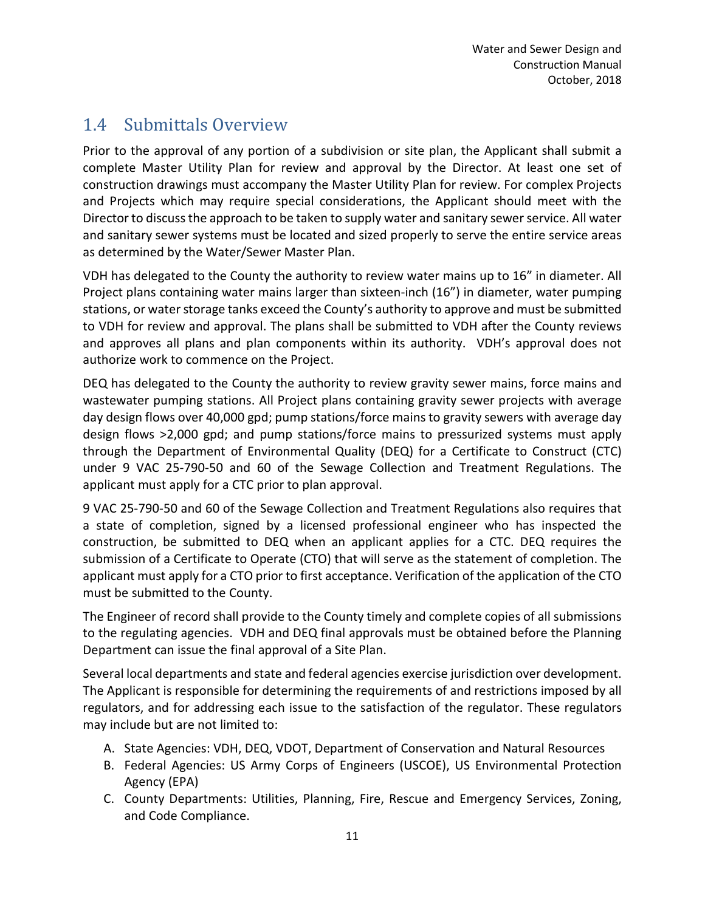### 1.4 Submittals Overview

Prior to the approval of any portion of a subdivision or site plan, the Applicant shall submit a complete Master Utility Plan for review and approval by the Director. At least one set of construction drawings must accompany the Master Utility Plan for review. For complex Projects and Projects which may require special considerations, the Applicant should meet with the Director to discuss the approach to be taken to supply water and sanitary sewer service. All water and sanitary sewer systems must be located and sized properly to serve the entire service areas as determined by the Water/Sewer Master Plan.

VDH has delegated to the County the authority to review water mains up to 16" in diameter. All Project plans containing water mains larger than sixteen-inch (16") in diameter, water pumping stations, or water storage tanks exceed the County's authority to approve and must be submitted to VDH for review and approval. The plans shall be submitted to VDH after the County reviews and approves all plans and plan components within its authority. VDH's approval does not authorize work to commence on the Project.

DEQ has delegated to the County the authority to review gravity sewer mains, force mains and wastewater pumping stations. All Project plans containing gravity sewer projects with average day design flows over 40,000 gpd; pump stations/force mains to gravity sewers with average day design flows >2,000 gpd; and pump stations/force mains to pressurized systems must apply through the Department of Environmental Quality (DEQ) for a Certificate to Construct (CTC) under 9 VAC 25-790-50 and 60 of the Sewage Collection and Treatment Regulations. The applicant must apply for a CTC prior to plan approval.

9 VAC 25-790-50 and 60 of the Sewage Collection and Treatment Regulations also requires that a state of completion, signed by a licensed professional engineer who has inspected the construction, be submitted to DEQ when an applicant applies for a CTC. DEQ requires the submission of a Certificate to Operate (CTO) that will serve as the statement of completion. The applicant must apply for a CTO prior to first acceptance. Verification of the application of the CTO must be submitted to the County.

The Engineer of record shall provide to the County timely and complete copies of all submissions to the regulating agencies. VDH and DEQ final approvals must be obtained before the Planning Department can issue the final approval of a Site Plan.

Several local departments and state and federal agencies exercise jurisdiction over development. The Applicant is responsible for determining the requirements of and restrictions imposed by all regulators, and for addressing each issue to the satisfaction of the regulator. These regulators may include but are not limited to:

- A. State Agencies: VDH, DEQ, VDOT, Department of Conservation and Natural Resources
- B. Federal Agencies: US Army Corps of Engineers (USCOE), US Environmental Protection Agency (EPA)
- C. County Departments: Utilities, Planning, Fire, Rescue and Emergency Services, Zoning, and Code Compliance.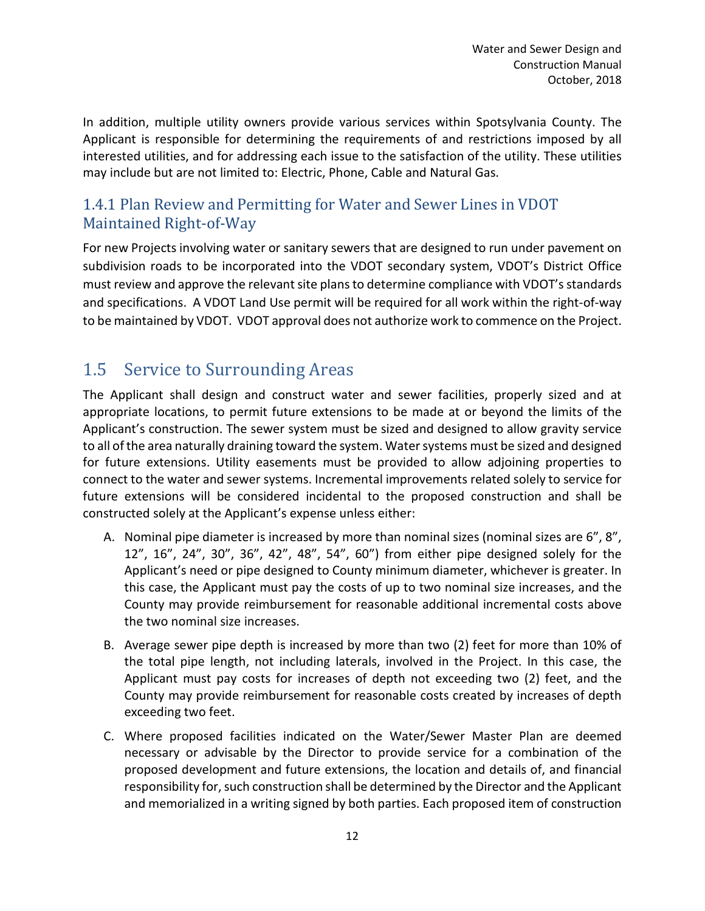In addition, multiple utility owners provide various services within Spotsylvania County. The Applicant is responsible for determining the requirements of and restrictions imposed by all interested utilities, and for addressing each issue to the satisfaction of the utility. These utilities may include but are not limited to: Electric, Phone, Cable and Natural Gas.

#### 1.4.1 Plan Review and Permitting for Water and Sewer Lines in VDOT Maintained Right-of-Way

For new Projects involving water or sanitary sewers that are designed to run under pavement on subdivision roads to be incorporated into the VDOT secondary system, VDOT's District Office must review and approve the relevant site plans to determine compliance with VDOT's standards and specifications. A VDOT Land Use permit will be required for all work within the right-of-way to be maintained by VDOT. VDOT approval does not authorize work to commence on the Project.

## 1.5 Service to Surrounding Areas

The Applicant shall design and construct water and sewer facilities, properly sized and at appropriate locations, to permit future extensions to be made at or beyond the limits of the Applicant's construction. The sewer system must be sized and designed to allow gravity service to all of the area naturally draining toward the system. Water systems must be sized and designed for future extensions. Utility easements must be provided to allow adjoining properties to connect to the water and sewer systems. Incremental improvements related solely to service for future extensions will be considered incidental to the proposed construction and shall be constructed solely at the Applicant's expense unless either:

- A. Nominal pipe diameter is increased by more than nominal sizes (nominal sizes are 6", 8", 12", 16", 24", 30", 36", 42", 48", 54", 60") from either pipe designed solely for the Applicant's need or pipe designed to County minimum diameter, whichever is greater. In this case, the Applicant must pay the costs of up to two nominal size increases, and the County may provide reimbursement for reasonable additional incremental costs above the two nominal size increases.
- B. Average sewer pipe depth is increased by more than two (2) feet for more than 10% of the total pipe length, not including laterals, involved in the Project. In this case, the Applicant must pay costs for increases of depth not exceeding two (2) feet, and the County may provide reimbursement for reasonable costs created by increases of depth exceeding two feet.
- C. Where proposed facilities indicated on the Water/Sewer Master Plan are deemed necessary or advisable by the Director to provide service for a combination of the proposed development and future extensions, the location and details of, and financial responsibility for, such construction shall be determined by the Director and the Applicant and memorialized in a writing signed by both parties. Each proposed item of construction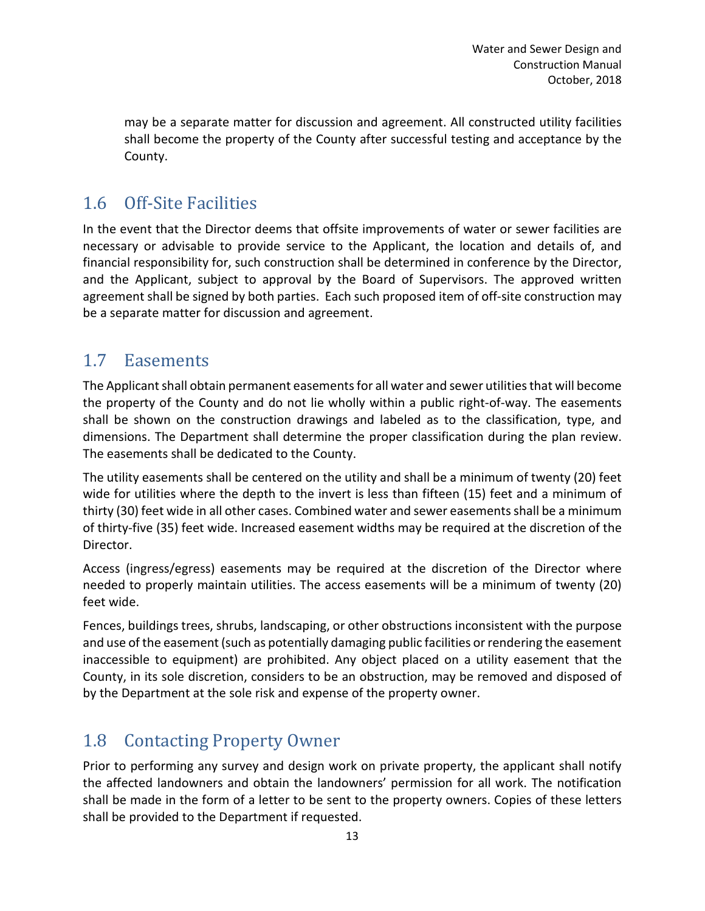may be a separate matter for discussion and agreement. All constructed utility facilities shall become the property of the County after successful testing and acceptance by the County.

#### 1.6 Off-Site Facilities

In the event that the Director deems that offsite improvements of water or sewer facilities are necessary or advisable to provide service to the Applicant, the location and details of, and financial responsibility for, such construction shall be determined in conference by the Director, and the Applicant, subject to approval by the Board of Supervisors. The approved written agreement shall be signed by both parties. Each such proposed item of off-site construction may be a separate matter for discussion and agreement.

#### 1.7 Easements

The Applicant shall obtain permanent easementsfor all water and sewer utilities that will become the property of the County and do not lie wholly within a public right-of-way. The easements shall be shown on the construction drawings and labeled as to the classification, type, and dimensions. The Department shall determine the proper classification during the plan review. The easements shall be dedicated to the County.

The utility easements shall be centered on the utility and shall be a minimum of twenty (20) feet wide for utilities where the depth to the invert is less than fifteen (15) feet and a minimum of thirty (30) feet wide in all other cases. Combined water and sewer easements shall be a minimum of thirty-five (35) feet wide. Increased easement widths may be required at the discretion of the Director.

Access (ingress/egress) easements may be required at the discretion of the Director where needed to properly maintain utilities. The access easements will be a minimum of twenty (20) feet wide.

Fences, buildings trees, shrubs, landscaping, or other obstructions inconsistent with the purpose and use of the easement (such as potentially damaging public facilities or rendering the easement inaccessible to equipment) are prohibited. Any object placed on a utility easement that the County, in its sole discretion, considers to be an obstruction, may be removed and disposed of by the Department at the sole risk and expense of the property owner.

### 1.8 Contacting Property Owner

Prior to performing any survey and design work on private property, the applicant shall notify the affected landowners and obtain the landowners' permission for all work. The notification shall be made in the form of a letter to be sent to the property owners. Copies of these letters shall be provided to the Department if requested.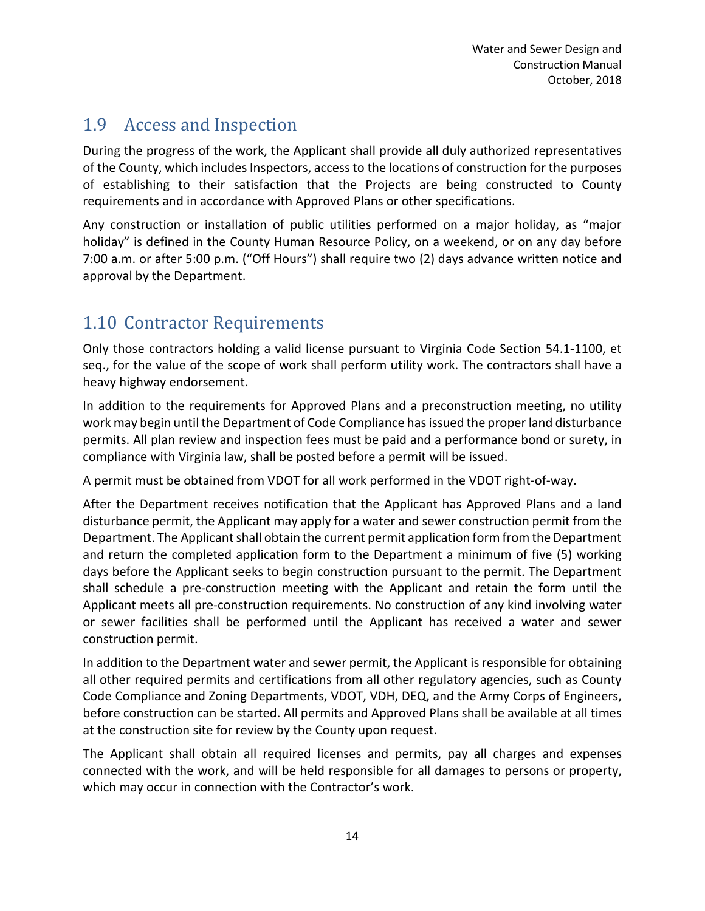### 1.9 Access and Inspection

During the progress of the work, the Applicant shall provide all duly authorized representatives of the County, which includes Inspectors, access to the locations of construction for the purposes of establishing to their satisfaction that the Projects are being constructed to County requirements and in accordance with Approved Plans or other specifications.

Any construction or installation of public utilities performed on a major holiday, as "major holiday" is defined in the County Human Resource Policy, on a weekend, or on any day before 7:00 a.m. or after 5:00 p.m. ("Off Hours") shall require two (2) days advance written notice and approval by the Department.

## 1.10 Contractor Requirements

Only those contractors holding a valid license pursuant to Virginia Code Section 54.1-1100, et seq., for the value of the scope of work shall perform utility work. The contractors shall have a heavy highway endorsement.

In addition to the requirements for Approved Plans and a preconstruction meeting, no utility work may begin until the Department of Code Compliance has issued the proper land disturbance permits. All plan review and inspection fees must be paid and a performance bond or surety, in compliance with Virginia law, shall be posted before a permit will be issued.

A permit must be obtained from VDOT for all work performed in the VDOT right-of-way.

After the Department receives notification that the Applicant has Approved Plans and a land disturbance permit, the Applicant may apply for a water and sewer construction permit from the Department. The Applicant shall obtain the current permit application form from the Department and return the completed application form to the Department a minimum of five (5) working days before the Applicant seeks to begin construction pursuant to the permit. The Department shall schedule a pre-construction meeting with the Applicant and retain the form until the Applicant meets all pre-construction requirements. No construction of any kind involving water or sewer facilities shall be performed until the Applicant has received a water and sewer construction permit.

In addition to the Department water and sewer permit, the Applicant is responsible for obtaining all other required permits and certifications from all other regulatory agencies, such as County Code Compliance and Zoning Departments, VDOT, VDH, DEQ, and the Army Corps of Engineers, before construction can be started. All permits and Approved Plans shall be available at all times at the construction site for review by the County upon request.

The Applicant shall obtain all required licenses and permits, pay all charges and expenses connected with the work, and will be held responsible for all damages to persons or property, which may occur in connection with the Contractor's work.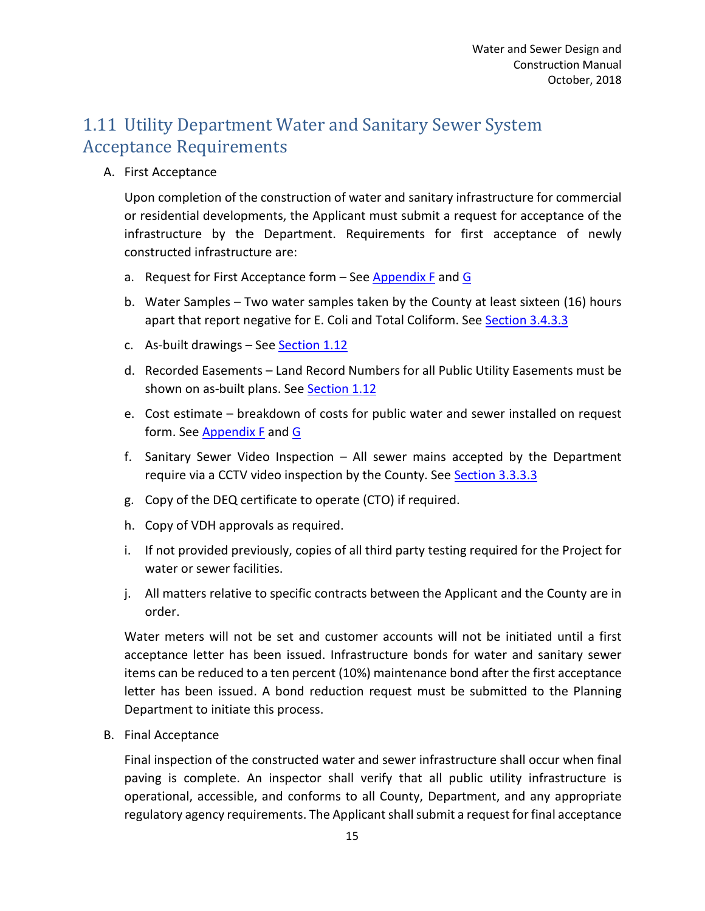### 1.11 Utility Department Water and Sanitary Sewer System Acceptance Requirements

A. First Acceptance

Upon completion of the construction of water and sanitary infrastructure for commercial or residential developments, the Applicant must submit a request for acceptance of the infrastructure by the Department. Requirements for first acceptance of newly constructed infrastructure are:

- a. Request for First Acceptance form  $-$  See Appendix F and G
- b. Water Samples Two water samples taken by the County at least sixteen (16) hours apart that report negative for E. Coli and Total Coliform. See Section 3.4.3.3
- c. As-built drawings See [Section 1.12](#page-8-0)
- d. Recorded Easements Land Record Numbers for all Public Utility Easements must be shown on as-built plans. See **Section 1.12**
- e. Cost estimate breakdown of costs for public water and sewer installed on request form. See Appendix F and G
- f. Sanitary Sewer Video Inspection All sewer mains accepted by the Department require via a CCTV video inspection by the County. See Section 3.3.3.3
- g. Copy of the DEQ certificate to operate (CTO) if required.
- h. Copy of VDH approvals as required.
- i. If not provided previously, copies of all third party testing required for the Project for water or sewer facilities.
- j. All matters relative to specific contracts between the Applicant and the County are in order.

Water meters will not be set and customer accounts will not be initiated until a first acceptance letter has been issued. Infrastructure bonds for water and sanitary sewer items can be reduced to a ten percent (10%) maintenance bond after the first acceptance letter has been issued. A bond reduction request must be submitted to the Planning Department to initiate this process.

B. Final Acceptance

Final inspection of the constructed water and sewer infrastructure shall occur when final paving is complete. An inspector shall verify that all public utility infrastructure is operational, accessible, and conforms to all County, Department, and any appropriate regulatory agency requirements. The Applicant shall submit a request for final acceptance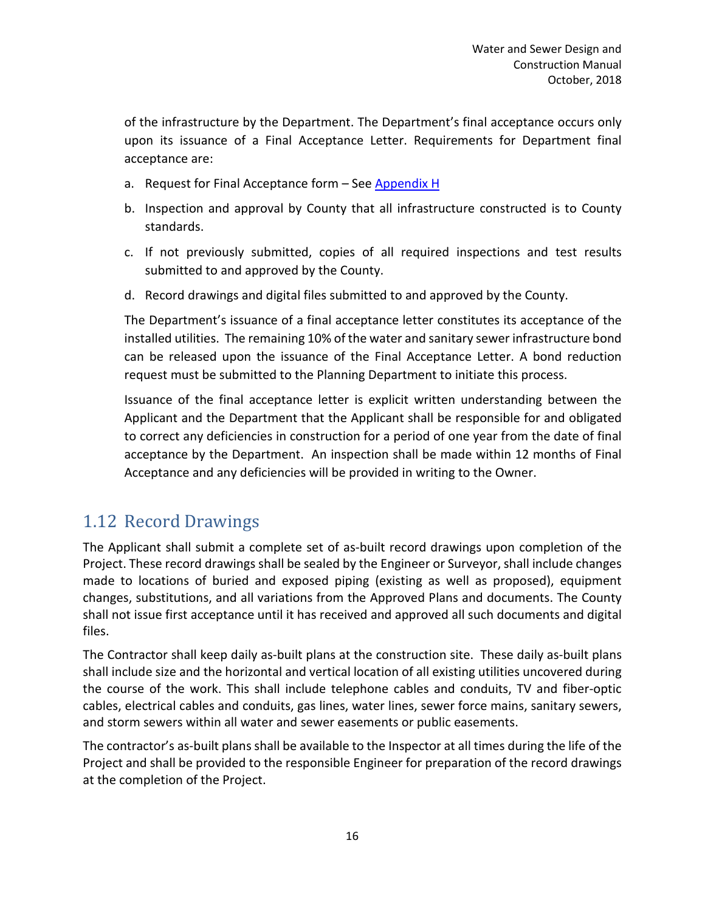of the infrastructure by the Department. The Department's final acceptance occurs only upon its issuance of a Final Acceptance Letter. Requirements for Department final acceptance are:

- a. Request for Final Acceptance form See Appendix H
- b. Inspection and approval by County that all infrastructure constructed is to County standards.
- c. If not previously submitted, copies of all required inspections and test results submitted to and approved by the County.
- d. Record drawings and digital files submitted to and approved by the County.

The Department's issuance of a final acceptance letter constitutes its acceptance of the installed utilities. The remaining 10% of the water and sanitary sewer infrastructure bond can be released upon the issuance of the Final Acceptance Letter. A bond reduction request must be submitted to the Planning Department to initiate this process.

Issuance of the final acceptance letter is explicit written understanding between the Applicant and the Department that the Applicant shall be responsible for and obligated to correct any deficiencies in construction for a period of one year from the date of final acceptance by the Department. An inspection shall be made within 12 months of Final Acceptance and any deficiencies will be provided in writing to the Owner.

### <span id="page-8-0"></span>1.12 Record Drawings

The Applicant shall submit a complete set of as-built record drawings upon completion of the Project. These record drawings shall be sealed by the Engineer or Surveyor, shall include changes made to locations of buried and exposed piping (existing as well as proposed), equipment changes, substitutions, and all variations from the Approved Plans and documents. The County shall not issue first acceptance until it has received and approved all such documents and digital files.

The Contractor shall keep daily as-built plans at the construction site. These daily as-built plans shall include size and the horizontal and vertical location of all existing utilities uncovered during the course of the work. This shall include telephone cables and conduits, TV and fiber-optic cables, electrical cables and conduits, gas lines, water lines, sewer force mains, sanitary sewers, and storm sewers within all water and sewer easements or public easements.

The contractor's as-built plans shall be available to the Inspector at all times during the life of the Project and shall be provided to the responsible Engineer for preparation of the record drawings at the completion of the Project.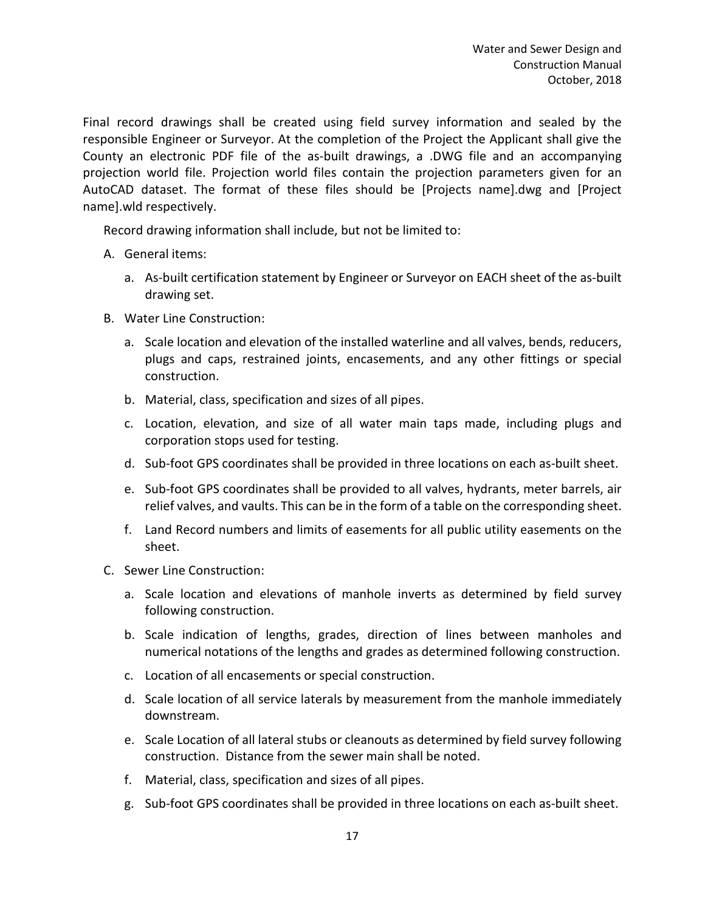Final record drawings shall be created using field survey information and sealed by the responsible Engineer or Surveyor. At the completion of the Project the Applicant shall give the County an electronic PDF file of the as-built drawings, a .DWG file and an accompanying projection world file. Projection world files contain the projection parameters given for an AutoCAD dataset. The format of these files should be [Projects name].dwg and [Project name].wld respectively.

Record drawing information shall include, but not be limited to:

- A. General items:
	- a. As-built certification statement by Engineer or Surveyor on EACH sheet of the as-built drawing set.
- B. Water Line Construction:
	- a. Scale location and elevation of the installed waterline and all valves, bends, reducers, plugs and caps, restrained joints, encasements, and any other fittings or special construction.
	- b. Material, class, specification and sizes of all pipes.
	- c. Location, elevation, and size of all water main taps made, including plugs and corporation stops used for testing.
	- d. Sub-foot GPS coordinates shall be provided in three locations on each as-built sheet.
	- e. Sub-foot GPS coordinates shall be provided to all valves, hydrants, meter barrels, air relief valves, and vaults. This can be in the form of a table on the corresponding sheet.
	- f. Land Record numbers and limits of easements for all public utility easements on the sheet.
- C. Sewer Line Construction:
	- a. Scale location and elevations of manhole inverts as determined by field survey following construction.
	- b. Scale indication of lengths, grades, direction of lines between manholes and numerical notations of the lengths and grades as determined following construction.
	- c. Location of all encasements or special construction.
	- d. Scale location of all service laterals by measurement from the manhole immediately downstream.
	- e. Scale Location of all lateral stubs or cleanouts as determined by field survey following construction. Distance from the sewer main shall be noted.
	- f. Material, class, specification and sizes of all pipes.
	- g. Sub-foot GPS coordinates shall be provided in three locations on each as-built sheet.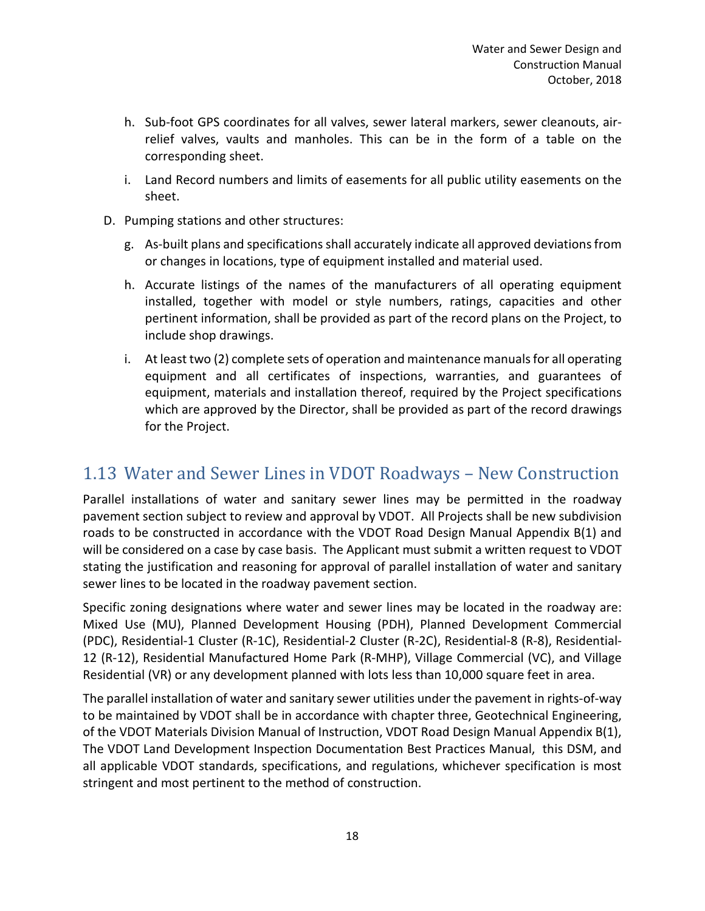- h. Sub-foot GPS coordinates for all valves, sewer lateral markers, sewer cleanouts, airrelief valves, vaults and manholes. This can be in the form of a table on the corresponding sheet.
- i. Land Record numbers and limits of easements for all public utility easements on the sheet.
- D. Pumping stations and other structures:
	- g. As-built plans and specifications shall accurately indicate all approved deviations from or changes in locations, type of equipment installed and material used.
	- h. Accurate listings of the names of the manufacturers of all operating equipment installed, together with model or style numbers, ratings, capacities and other pertinent information, shall be provided as part of the record plans on the Project, to include shop drawings.
	- i. At least two (2) complete sets of operation and maintenance manuals for all operating equipment and all certificates of inspections, warranties, and guarantees of equipment, materials and installation thereof, required by the Project specifications which are approved by the Director, shall be provided as part of the record drawings for the Project.

### 1.13 Water and Sewer Lines in VDOT Roadways – New Construction

Parallel installations of water and sanitary sewer lines may be permitted in the roadway pavement section subject to review and approval by VDOT. All Projects shall be new subdivision roads to be constructed in accordance with the VDOT Road Design Manual Appendix B(1) and will be considered on a case by case basis. The Applicant must submit a written request to VDOT stating the justification and reasoning for approval of parallel installation of water and sanitary sewer lines to be located in the roadway pavement section.

Specific zoning designations where water and sewer lines may be located in the roadway are: Mixed Use (MU), Planned Development Housing (PDH), Planned Development Commercial (PDC), Residential-1 Cluster (R-1C), Residential-2 Cluster (R-2C), Residential-8 (R-8), Residential-12 (R-12), Residential Manufactured Home Park (R-MHP), Village Commercial (VC), and Village Residential (VR) or any development planned with lots less than 10,000 square feet in area.

The parallel installation of water and sanitary sewer utilities under the pavement in rights-of-way to be maintained by VDOT shall be in accordance with chapter three, Geotechnical Engineering, of the VDOT Materials Division Manual of Instruction, VDOT Road Design Manual Appendix B(1), The VDOT Land Development Inspection Documentation Best Practices Manual, this DSM, and all applicable VDOT standards, specifications, and regulations, whichever specification is most stringent and most pertinent to the method of construction.